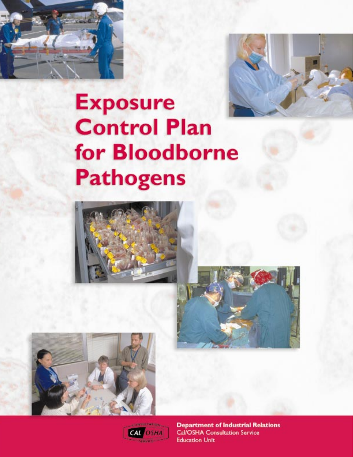



# **Exposure Control Plan** for **Bloodborne Pathogens**









**Department of Industrial Relations Cal/OSHA Consultation Service Education Unit**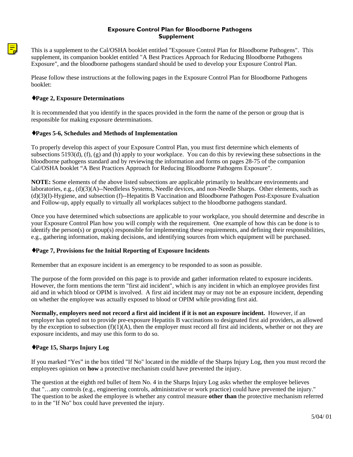#### **Exposure Control Plan for Bloodborne Pathogens Supplement**

This is a supplement to the Cal/OSHA booklet entitled "Exposure Control Plan for Bloodborne Pathogens". This supplement, its companion booklet entitled "A Best Practices Approach for Reducing Bloodborne Pathogens Exposure", and the bloodborne pathogens standard should be used to develop your Exposure Control Plan.

Please follow these instructions at the following pages in the Exposure Control Plan for Bloodborne Pathogens booklet:

#### ♦**Page 2, Exposure Determinations**

[It is recommended that you identify in the spaces provided in the form the name of the person or group that is](#page-7-0) responsible for making exposure determinations.

#### ♦**Pages 5-6, Schedules and Methods of Implementation**

To properly develop this aspect of your Exposure Control Plan, you must first determine which elements of subsections 5193(d), (f), (g) and (h) apply to your workplace. You can do this by reviewing these subsections in the bloodborne pathogens standard and by reviewing the information and forms on pages 28-75 of the companion Cal/OSHA booklet "A Best Practices Approach for Reducing Bloodborne Pathogens Exposure".

**NOTE:** Some elements of the above listed subsections are applicable primarily to healthcare environments and laboratories, e.g., (d)(3)(A)--Needleless Systems, Needle devices, and non-Needle Sharps. Other elements, such as (d)(3)(I)-Hygiene, and subsection (f)--Hepatitis B Vaccination and Bloodborne Pathogen Post-Exposure Evaluation and Follow-up, apply equally to virtually all workplaces subject to the bloodborne pathogens standard.

Once you have determined which subsections are applicable to your workplace, you should determine and describe in your Exposure Control Plan how you will comply with the requirement. One example of how this can be done is to [identify the person\(s\) or group\(s\) responsible for implementing these requirements, and defining their responsibilities,](#page-10-0) e.g., gathering information, making decisions, and identifying sources from which equipment will be purchased.

#### ♦**Page 7, Provisions for the Initial Reporting of Exposure Incidents**

Remember that an exposure incident is an emergency to be responded to as soon as possible.

The purpose of the form provided on this page is to provide and gather information related to exposure incidents. However, the form mentions the term "first aid incident", which is any incident in which an employee provides first [aid and in which blood or OPIM is involved. A first aid incident may or may not be an exposure incident, depending](#page-12-0) on whether the employee was actually exposed to blood or OPIM while providing first aid.

**Normally, employers need not record a first aid incident if it is not an exposure incident.** However, if an employer has opted not to provide pre-exposure Hepatitis B vaccinations to designated first aid providers, as allowed by the exception to subsection  $(f)(1)(A)$ , then the employer must record all first aid incidents, whether or not they are exposure incidents, and may use this form to do so.

#### ♦**Page 15, Sharps Injury Log**

[If you marked "Yes" in the box titled "If No" located in the middle of the Sharps Injury Log, then you must record the](#page-20-0) employees opinion on **how** a protective mechanism could have prevented the injury.

The question at the eighth red bullet of Item No. 4 in the Sharps Injury Log asks whether the employee believes that "…any controls (e.g., engineering controls, administrative or work practice) could have prevented the injury." The question to be asked the employee is whether any control measure **other than** the protective mechanism referred to in the "If No" box could have prevented the injury.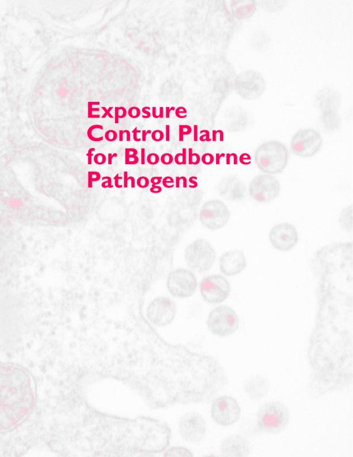# **Exposure**<br>Control Plan for Bloodborne **Pathogens**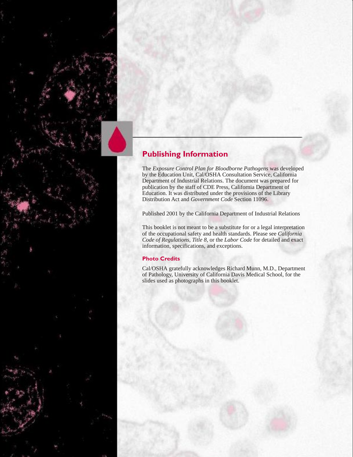### **Publishing Information**

The *Exposure Control Plan for Bloodborne Pathogens* was developed by the Education Unit, Cal/OSHA Consultation Service, California Department of Industrial Relations. The document was prepared for publication by the staff of CDE Press, California Department of Education. It was distributed under the provisions of the Library Distribution Act and *Government Code* Section 11096.

Published 2001 by the California Department of Industrial Relations

This booklet is not meant to be a substitute for or a legal interpretation of the occupational safety and health standards. Please see *California Code of Regulations, Title 8,* or the *Labor Code* for detailed and exact information, specifications, and exceptions.

#### **Photo Credits**

Cal/OSHA gratefully acknowledges Richard Munn, M.D., Department of Pathology, University of California Davis Medical School, for the slides used as photographs in this booklet.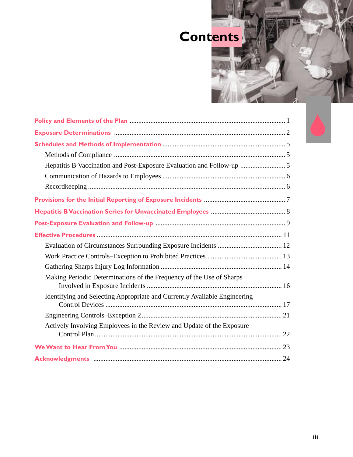

| Hepatitis B Vaccination and Post-Exposure Evaluation and Follow-up  5     |
|---------------------------------------------------------------------------|
|                                                                           |
|                                                                           |
|                                                                           |
|                                                                           |
|                                                                           |
|                                                                           |
|                                                                           |
|                                                                           |
|                                                                           |
| Making Periodic Determinations of the Frequency of the Use of Sharps      |
| Identifying and Selecting Appropriate and Currently Available Engineering |
|                                                                           |
| Actively Involving Employees in the Review and Update of the Exposure     |
|                                                                           |
|                                                                           |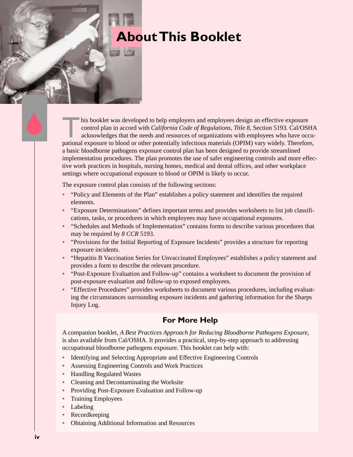### **About This Booklet**

his booklet was developed to help employers and employees design an effective exposure control plan in accord with *California Code of Regulations, Title 8,* Section 5193. Cal/OSHA acknowledges that the needs and resources of organizations with employees who have occupational exposure to blood or other potentially infectious materials (OPIM) vary widely. Therefore, a basic bloodborne pathogens exposure control plan has been designed to provide streamlined implementation procedures. The plan promotes the use of safer engineering controls and more effective work practices in hospitals, nursing homes, medical and dental offices, and other workplace settings where occupational exposure to blood or OPIM is likely to occur.

The exposure control plan consists of the following sections:

- "Policy and Elements of the Plan" establishes a policy statement and identifies the required elements.
- "Exposure Determinations" defines important terms and provides worksheets to list job classifications, tasks, or procedures in which employees may have occupational exposures.
- "Schedules and Methods of Implementation" contains forms to describe various procedures that may be required by *8 CCR* 5193.
- "Provisions for the Initial Reporting of Exposure Incidents" provides a structure for reporting exposure incidents.
- "Hepatitis B Vaccination Series for Unvaccinated Employees" establishes a policy statement and provides a form to describe the relevant procedure.
- "Post-Exposure Evaluation and Follow-up" contains a worksheet to document the provision of post-exposure evaluation and follow-up to exposed employees.
- "Effective Procedures" provides worksheets to document various procedures, including evaluating the circumstances surrounding exposure incidents and gathering information for the Sharps Injury Log.

### **For More Help**

A companion booklet, *A Best Practices Approach for Reducing Bloodborne Pathogens Exposure,* is also available from Cal/OSHA. It provides a practical, step-by-step approach to addressing occupational bloodborne pathogens exposure. This booklet can help with:

- Identifying and Selecting Appropriate and Effective Engineering Controls
- Assessing Engineering Controls and Work Practices
- Handling Regulated Wastes
- Cleaning and Decontaminating the Worksite
- Providing Post-Exposure Evaluation and Follow-up
- Training Employees
- **Labeling**
- Recordkeeping
- Obtaining Additional Information and Resources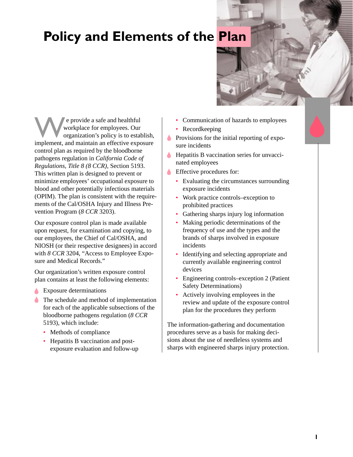### <span id="page-6-0"></span>**Policy and Elements of the Plan**

We provide a safe and healthful<br>workplace for employees. Our<br>organization's policy is to establish,<br>implement, and maintain an effective exposure workplace for employees. Our organization's policy is to establish, control plan as required by the bloodborne pathogens regulation in *California Code of Regulations, Title 8 (8 CCR),* Section 5193. This written plan is designed to prevent or minimize employees' occupational exposure to blood and other potentially infectious materials (OPIM). The plan is consistent with the requirements of the Cal/OSHA Injury and Illness Prevention Program (*8 CCR* 3203).

Our exposure control plan is made available upon request, for examination and copying, to our employees, the Chief of Cal/OSHA, and NIOSH (or their respective designees) in accord with *8 CCR* 3204, "Access to Employee Exposure and Medical Records."

Our organization's written exposure control plan contains at least the following elements:

- Exposure determinations
- The schedule and method of implementation for each of the applicable subsections of the bloodborne pathogens regulation (*8 CCR* 5193), which include:
	- Methods of compliance
	- Hepatitis B vaccination and postexposure evaluation and follow-up
- Communication of hazards to employees
- Recordkeeping
- **Provisions for the initial reporting of expo**sure incidents
- **Hepatitis B vaccination series for unvacci**nated employees
	- Effective procedures for:
		- Evaluating the circumstances surrounding exposure incidents
		- Work practice controls–exception to prohibited practices
		- Gathering sharps injury log information
		- Making periodic determinations of the frequency of use and the types and the brands of sharps involved in exposure incidents
		- Identifying and selecting appropriate and currently available engineering control devices
		- Engineering controls–exception 2 (Patient Safety Determinations)
		- Actively involving employees in the review and update of the exposure control plan for the procedures they perform

The information-gathering and documentation procedures serve as a basis for making decisions about the use of needleless systems and sharps with engineered sharps injury protection.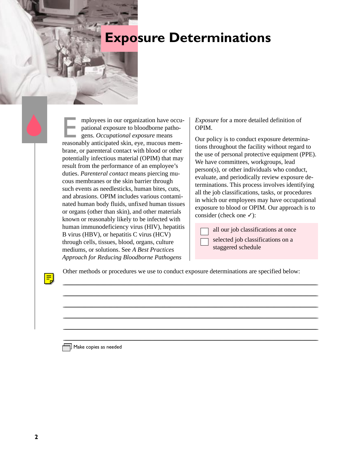### <span id="page-7-0"></span>**Exposure Determinations**

mployees in our organization have occupational exposure to bloodborne pathogens. Occupational exposure means<br>reasonably anticipated skin, eye, mucous mempational exposure to bloodborne pathogens. *Occupational exposure* means brane, or parenteral contact with blood or other potentially infectious material (OPIM) that may result from the performance of an employee's duties. *Parenteral contact* means piercing mucous membranes or the skin barrier through such events as needlesticks, human bites, cuts, and abrasions. OPIM includes various contaminated human body fluids, unfixed human tissues or organs (other than skin), and other materials known or reasonably likely to be infected with human immunodeficiency virus (HIV), hepatitis B virus (HBV), or hepatitis C virus (HCV) through cells, tissues, blood, organs, culture mediums, or solutions. See *A Best Practices Approach for Reducing Bloodborne Pathogens*

*Exposure* for a more detailed definition of OPIM.

Our policy is to conduct exposure determinations throughout the facility without regard to the use of personal protective equipment (PPE). We have committees, workgroups, lead person(s), or other individuals who conduct, evaluate, and periodically review exposure determinations. This process involves identifying all the job classifications, tasks, or procedures in which our employees may have occupational exposure to blood or OPIM. Our approach is to consider (check one  $\checkmark$ ):

- 
- all our job classifications at once

selected job classifications on a staggered schedule

Other methods or procedures we use to conduct exposure determinations are specified below:

<u> 2008 - Andrea Britain, amerikan basar dan berasal di sebagai personal di sebagai personal di sebagai personal</u> <u> 2008 - Jan Samuel Barbara, martin da shekara ta 1980 haɗan 1980 haɗa 2008 (Barbara ta 1980) da shekara ta 19</u> <u> 2008 - Andrea Britain, amerikan basar dan berasal di sebagai personal di sebagai personal di sebagai personal</u> <u> 2008 - Andrea Britain, amerikan basar dan berasal di sebagai personal di sebagai personal di sebagai personal</u> <u> 2008 - Andrea Britain, amerikan basar dan berasal di sebagai personal di sebagai personal di sebagai personal</u> <u> 2000 - Jan James Sammen, maritan amerikan bahasa perangan pengaran pengaran pengaran pengaran pengaran penga</u>

 $\mathbb{I}$  Make copies as needed

 $\overline{\mathbf{u}}$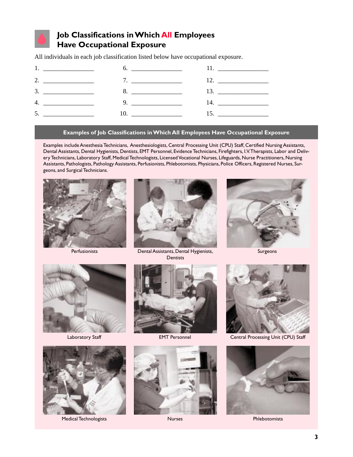

### **Job Classifications in Which All Employees Have Occupational Exposure**

All individuals in each job classification listed below have occupational exposure.



#### **Examples of Job Classifications in Which All Employees Have Occupational Exposure**

Examples include Anesthesia Technicians, Anesthesiologists, Central Processing Unit (CPU) Staff, Certified Nursing Assistants, Dental Assistants, Dental Hygienists, Dentists, EMT Personnel, Evidence Technicians, Firefighters, I.V. Therapists, Labor and Delivery Technicians, Laboratory Staff, Medical Technologists, Licensed Vocational Nurses, Lifeguards, Nurse Practitioners, Nursing Assistants, Pathologists, Pathology Assistants, Perfusionists, Phlebotomists, Physicians, Police Officers, Registered Nurses, Surgeons, and Surgical Technicians.





Perfusionists **Dental Assistants, Dental Hygienists, Dentists** 



Surgeons





Medical Technologists Nurses Phlebotomists







Laboratory Staff **EMT Personnel** Central Processing Unit (CPU) Staff

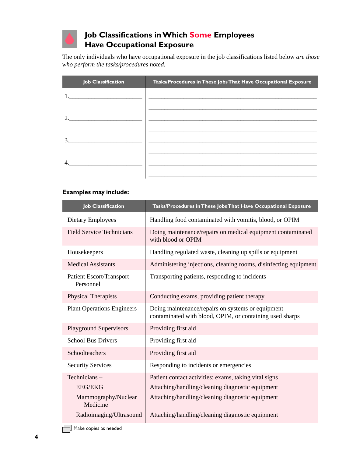### **Job Classifications in Which Some Employees Have Occupational Exposure**

The only individuals who have occupational exposure in the job classifications listed below *are those who perform the tasks/procedures noted.*

| <b>Job Classification</b>                                                                                                                                                                                                                                                                                                                                                                                                                                   | Tasks/Procedures in These Jobs That Have Occupational Exposure |
|-------------------------------------------------------------------------------------------------------------------------------------------------------------------------------------------------------------------------------------------------------------------------------------------------------------------------------------------------------------------------------------------------------------------------------------------------------------|----------------------------------------------------------------|
|                                                                                                                                                                                                                                                                                                                                                                                                                                                             |                                                                |
|                                                                                                                                                                                                                                                                                                                                                                                                                                                             |                                                                |
| 2.<br>$\begin{tabular}{ccccc} \multicolumn{2}{c }{\textbf{1} & \multicolumn{2}{c }{\textbf{2} & \multicolumn{2}{c }{\textbf{3} & \multicolumn{2}{c }{\textbf{4} & \multicolumn{2}{c }{\textbf{5} & \multicolumn{2}{c }{\textbf{6} & \multicolumn{2}{c }{\textbf{6} & \multicolumn{2}{c }{\textbf{6} & \multicolumn{2}{c }{\textbf{6} & \multicolumn{2}{c }{\textbf{6} & \multicolumn{2}{c }{\textbf{6} & \multicolumn{2}{c }{\textbf{6} & \multicolumn{2}{$ |                                                                |
|                                                                                                                                                                                                                                                                                                                                                                                                                                                             |                                                                |
| $\mathcal{R}$                                                                                                                                                                                                                                                                                                                                                                                                                                               |                                                                |
|                                                                                                                                                                                                                                                                                                                                                                                                                                                             |                                                                |
|                                                                                                                                                                                                                                                                                                                                                                                                                                                             |                                                                |
|                                                                                                                                                                                                                                                                                                                                                                                                                                                             |                                                                |
|                                                                                                                                                                                                                                                                                                                                                                                                                                                             |                                                                |

#### **Examples may include:**

| <b>Job Classification</b>                    | Tasks/Procedures in These Jobs That Have Occupational Exposure                                                |
|----------------------------------------------|---------------------------------------------------------------------------------------------------------------|
| Dietary Employees                            | Handling food contaminated with vomitis, blood, or OPIM                                                       |
| <b>Field Service Technicians</b>             | Doing maintenance/repairs on medical equipment contaminated<br>with blood or OPIM                             |
| Housekeepers                                 | Handling regulated waste, cleaning up spills or equipment                                                     |
| <b>Medical Assistants</b>                    | Administering injections, cleaning rooms, disinfecting equipment                                              |
| <b>Patient Escort/Transport</b><br>Personnel | Transporting patients, responding to incidents                                                                |
| Physical Therapists                          | Conducting exams, providing patient therapy                                                                   |
| <b>Plant Operations Engineers</b>            | Doing maintenance/repairs on systems or equipment<br>contaminated with blood, OPIM, or containing used sharps |
| <b>Playground Supervisors</b>                | Providing first aid                                                                                           |
| <b>School Bus Drivers</b>                    | Providing first aid                                                                                           |
| Schoolteachers                               | Providing first aid                                                                                           |
| <b>Security Services</b>                     | Responding to incidents or emergencies                                                                        |
| Technicians-                                 | Patient contact activities: exams, taking vital signs                                                         |
| <b>EEG/EKG</b>                               | Attaching/handling/cleaning diagnostic equipment                                                              |
| Mammography/Nuclear<br>Medicine              | Attaching/handling/cleaning diagnostic equipment                                                              |
| Radioimaging/Ultrasound                      | Attaching/handling/cleaning diagnostic equipment                                                              |

 $\Box$  Make copies as needed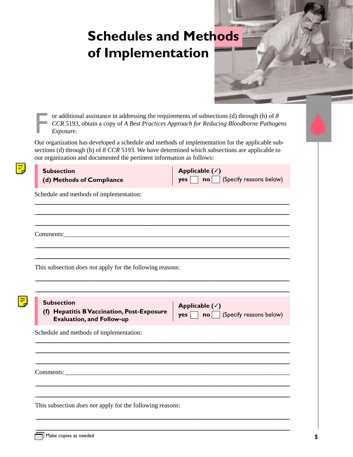### <span id="page-10-0"></span>**Schedules and Methods** of Implementation

or additional assistance in addressing the requirements of subsections (d) through (h) of 8 CCR 5193, obtain a copy of A Best Practices Approach for Reducing Bloodborne Pathogens Exposure.

Our organization has developed a schedule and methods of implementation for the applicable subsections (d) through (h) of 8 CCR 5193. We have determined which subsections are applicable to our organization and documented the pertinent information as follows:

 $\sim$  100  $\pm$ 

| <b>Subsection</b><br>(d) Methods of Compliance                                                      | Applicable $(\checkmark)$<br>(Specify reasons below)<br>no<br>yes            |
|-----------------------------------------------------------------------------------------------------|------------------------------------------------------------------------------|
| Schedule and methods of implementation:                                                             |                                                                              |
| Comments:                                                                                           |                                                                              |
| This subsection <i>does not</i> apply for the following reasons:                                    |                                                                              |
|                                                                                                     |                                                                              |
| <b>Subsection</b><br>(f) Hepatitis B Vaccination, Post-Exposure<br><b>Evaluation, and Follow-up</b> | Applicable $(\checkmark)$<br>(Specify reasons below)<br>yes<br>$\mathsf{no}$ |
| Schedule and methods of implementation:                                                             |                                                                              |
|                                                                                                     |                                                                              |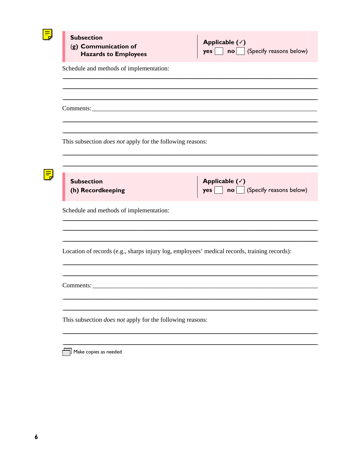<span id="page-11-0"></span>

| <b>Subsection</b><br>(g) Communication of<br><b>Hazards to Employees</b>                     | Applicable $(\checkmark)$<br>(Specify reasons below)<br>no<br>yes        |
|----------------------------------------------------------------------------------------------|--------------------------------------------------------------------------|
| Schedule and methods of implementation:                                                      |                                                                          |
|                                                                                              |                                                                          |
| This subsection <i>does not</i> apply for the following reasons:                             |                                                                          |
| <b>Subsection</b><br>(h) Recordkeeping                                                       | Applicable $(\checkmark)$<br>(Specify reasons below)<br>no<br><b>yes</b> |
| Schedule and methods of implementation:                                                      |                                                                          |
| Location of records (e.g., sharps injury log, employees' medical records, training records): |                                                                          |
| Comments:                                                                                    |                                                                          |
| This subsection <i>does not</i> apply for the following reasons:                             |                                                                          |

Make copies as needed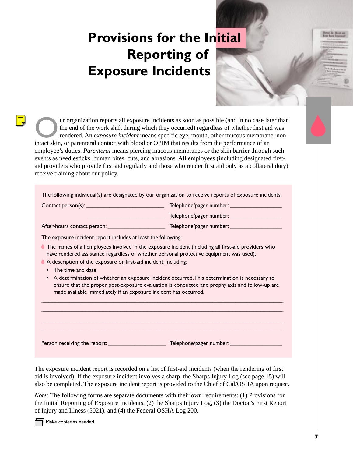### <span id="page-12-0"></span>**Provisions for the Initial Reporting of Exposure Incidents**

ur organization reports all exposure incidents as soon as possible (and in no case later than the end of the work shift during which they occurred) regardless of whether first aid was rendered. An *exposure incident* means specific eye, mouth, other mucous membrane, nonintact skin, or parenteral contact with blood or OPIM that results from the performance of an employee's duties. *Parenteral* means piercing mucous membranes or the skin barrier through such events as needlesticks, human bites, cuts, and abrasions. All employees (including designated firstaid providers who provide first aid regularly and those who render first aid only as a collateral duty) receive training about our policy.

The following individual(s) are designated by our organization to receive reports of exposure incidents:

Contact person(s): \_\_\_\_\_\_\_\_\_\_\_\_\_\_\_\_\_\_\_\_\_\_\_\_\_\_\_ Telephone/pager number: \_\_\_\_\_\_\_\_\_\_\_\_\_\_\_\_\_\_

\_\_\_\_\_\_\_\_\_\_\_\_\_\_\_\_\_\_\_\_\_\_\_\_\_\_\_ Telephone/pager number: \_\_\_\_\_\_\_\_\_\_\_\_\_\_\_\_\_\_

After-hours contact person: \_\_\_\_\_\_\_\_\_\_\_\_\_\_\_\_\_\_\_\_ Telephone/pager number: \_\_\_\_\_\_\_\_\_\_\_\_\_\_\_\_\_\_

퉈

The exposure incident report includes at least the following:

- The names of all employees involved in the exposure incident (including all first-aid providers who have rendered assistance regardless of whether personal protective equipment was used).
- A description of the exposure or first-aid incident, including:
	- The time and date
	- A determination of whether an exposure incident occurred. This determination is necessary to ensure that the proper post-exposure evaluation is conducted and prophylaxis and follow-up are made available immediately if an exposure incident has occurred.

\_\_\_\_\_\_\_\_\_\_\_\_\_\_\_\_\_\_\_\_\_\_\_\_\_\_\_\_\_\_\_\_\_\_\_\_\_\_\_\_\_\_\_\_\_\_\_\_\_\_\_\_\_\_\_\_\_\_\_\_\_\_\_\_\_\_\_\_\_\_\_\_\_\_\_\_\_\_\_\_\_\_\_\_\_\_\_\_\_\_\_\_\_\_\_\_\_\_\_\_\_\_\_\_\_\_\_\_\_\_\_\_\_\_\_\_\_\_\_\_\_\_\_\_\_\_\_\_\_\_\_\_\_\_\_\_\_\_\_\_\_\_\_\_\_\_\_\_\_\_\_\_\_\_\_\_\_\_\_\_\_\_\_\_\_\_\_\_\_\_ \_\_\_\_\_\_\_\_\_\_\_\_\_\_\_\_\_\_\_\_\_\_\_\_\_\_\_\_\_\_\_\_\_\_\_\_\_\_\_\_\_\_\_\_\_\_\_\_\_\_\_\_\_\_\_\_\_\_\_\_\_\_\_\_\_\_\_\_\_\_\_\_\_\_\_\_\_\_\_\_\_\_\_\_\_\_\_\_\_\_\_\_\_\_\_\_\_\_\_\_\_\_\_\_\_\_\_\_\_\_\_\_\_\_\_\_\_\_\_\_\_\_\_\_\_\_\_\_\_\_\_\_\_\_\_\_\_\_\_\_\_\_\_\_\_\_\_\_\_\_\_\_\_\_\_\_\_\_\_\_\_\_\_\_\_\_\_\_\_\_ \_\_\_\_\_\_\_\_\_\_\_\_\_\_\_\_\_\_\_\_\_\_\_\_\_\_\_\_\_\_\_\_\_\_\_\_\_\_\_\_\_\_\_\_\_\_\_\_\_\_\_\_\_\_\_\_\_\_\_\_\_\_\_\_\_\_\_\_\_\_\_\_\_\_\_\_\_\_\_\_\_\_\_\_\_\_\_\_\_\_\_\_\_\_\_\_\_\_\_\_\_\_\_\_\_\_\_\_\_\_\_\_\_\_\_\_\_\_\_\_\_\_\_\_\_\_\_\_\_\_\_\_\_\_\_\_\_\_\_\_\_\_\_\_\_\_\_\_\_\_\_\_\_\_\_\_\_\_\_\_\_\_\_\_\_\_\_\_\_\_ \_\_\_\_\_\_\_\_\_\_\_\_\_\_\_\_\_\_\_\_\_\_\_\_\_\_\_\_\_\_\_\_\_\_\_\_\_\_\_\_\_\_\_\_\_\_\_\_\_\_\_\_\_\_\_\_\_\_\_\_\_\_\_\_\_\_\_\_\_\_\_\_\_\_\_\_\_\_\_\_\_\_\_\_\_\_\_\_\_\_\_\_\_\_\_\_\_\_\_\_\_\_\_\_\_\_\_\_\_\_\_\_\_\_\_\_\_\_\_\_\_\_\_\_\_\_\_\_\_\_\_\_\_\_\_\_\_\_\_\_\_\_\_\_\_\_\_\_\_\_\_\_\_\_\_\_\_\_\_\_\_\_\_\_\_\_\_\_\_\_

Person receiving the report: \_\_\_\_\_\_\_\_\_\_\_\_\_\_\_\_\_\_\_\_ Telephone/pager number: \_\_\_\_\_\_\_\_\_\_\_\_\_\_\_\_\_\_

The exposure incident report is recorded on a list of first-aid incidents (when the rendering of first aid is involved). If the exposure incident involves a sharp, the Sharps Injury Log (see page 15) will also be completed. The exposure incident report is provided to the Chief of Cal/OSHA upon request.

*Note:* The following forms are separate documents with their own requirements: (1) Provisions for the Initial Reporting of Exposure Incidents, (2) the Sharps Injury Log, (3) the Doctor's First Report of Injury and Illness (5021), and (4) the Federal OSHA Log 200.

 $\mathbb{L}$  Make copies as needed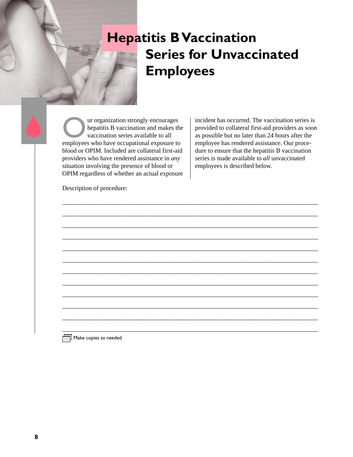### <span id="page-13-0"></span>**Hepatitis B Vaccination Series for Unvaccinated Employees**

\_\_\_\_\_\_\_\_\_\_\_\_\_\_\_\_\_\_\_\_\_\_\_\_\_\_\_\_\_\_\_\_\_\_\_\_\_\_\_\_\_\_\_\_\_\_\_\_\_\_\_\_\_\_\_\_\_\_\_\_\_\_\_\_\_\_\_\_\_\_\_\_\_\_\_\_\_\_\_\_\_\_\_\_\_

\_\_\_\_\_\_\_\_\_\_\_\_\_\_\_\_\_\_\_\_\_\_\_\_\_\_\_\_\_\_\_\_\_\_\_\_\_\_\_\_\_\_\_\_\_\_\_\_\_\_\_\_\_\_\_\_\_\_\_\_\_\_\_\_\_\_\_\_\_\_\_\_\_\_\_\_\_\_\_\_\_\_\_\_\_

\_\_\_\_\_\_\_\_\_\_\_\_\_\_\_\_\_\_\_\_\_\_\_\_\_\_\_\_\_\_\_\_\_\_\_\_\_\_\_\_\_\_\_\_\_\_\_\_\_\_\_\_\_\_\_\_\_\_\_\_\_\_\_\_\_\_\_\_\_\_\_\_\_\_\_\_\_\_\_\_\_\_\_\_\_ \_\_\_\_\_\_\_\_\_\_\_\_\_\_\_\_\_\_\_\_\_\_\_\_\_\_\_\_\_\_\_\_\_\_\_\_\_\_\_\_\_\_\_\_\_\_\_\_\_\_\_\_\_\_\_\_\_\_\_\_\_\_\_\_\_\_\_\_\_\_\_\_\_\_\_\_\_\_\_\_\_\_\_\_\_

\_\_\_\_\_\_\_\_\_\_\_\_\_\_\_\_\_\_\_\_\_\_\_\_\_\_\_\_\_\_\_\_\_\_\_\_\_\_\_\_\_\_\_\_\_\_\_\_\_\_\_\_\_\_\_\_\_\_\_\_\_\_\_\_\_\_\_\_\_\_\_\_\_\_\_\_\_\_\_\_\_\_\_\_\_

\_\_\_\_\_\_\_\_\_\_\_\_\_\_\_\_\_\_\_\_\_\_\_\_\_\_\_\_\_\_\_\_\_\_\_\_\_\_\_\_\_\_\_\_\_\_\_\_\_\_\_\_\_\_\_\_\_\_\_\_\_\_\_\_\_\_\_\_\_\_\_\_\_\_\_\_\_\_\_\_\_\_\_\_\_ \_\_\_\_\_\_\_\_\_\_\_\_\_\_\_\_\_\_\_\_\_\_\_\_\_\_\_\_\_\_\_\_\_\_\_\_\_\_\_\_\_\_\_\_\_\_\_\_\_\_\_\_\_\_\_\_\_\_\_\_\_\_\_\_\_\_\_\_\_\_\_\_\_\_\_\_\_\_\_\_\_\_\_\_\_

\_\_\_\_\_\_\_\_\_\_\_\_\_\_\_\_\_\_\_\_\_\_\_\_\_\_\_\_\_\_\_\_\_\_\_\_\_\_\_\_\_\_\_\_\_\_\_\_\_\_\_\_\_\_\_\_\_\_\_\_\_\_\_\_\_\_\_\_\_\_\_\_\_\_\_\_\_\_\_\_\_\_\_\_\_

\_\_\_\_\_\_\_\_\_\_\_\_\_\_\_\_\_\_\_\_\_\_\_\_\_\_\_\_\_\_\_\_\_\_\_\_\_\_\_\_\_\_\_\_\_\_\_\_\_\_\_\_\_\_\_\_\_\_\_\_\_\_\_\_\_\_\_\_\_\_\_\_\_\_\_\_\_\_\_\_\_\_\_\_\_ \_\_\_\_\_\_\_\_\_\_\_\_\_\_\_\_\_\_\_\_\_\_\_\_\_\_\_\_\_\_\_\_\_\_\_\_\_\_\_\_\_\_\_\_\_\_\_\_\_\_\_\_\_\_\_\_\_\_\_\_\_\_\_\_\_\_\_\_\_\_\_\_\_\_\_\_\_\_\_\_\_\_\_\_\_

\_\_\_\_\_\_\_\_\_\_\_\_\_\_\_\_\_\_\_\_\_\_\_\_\_\_\_\_\_\_\_\_\_\_\_\_\_\_\_\_\_\_\_\_\_\_\_\_\_\_\_\_\_\_\_\_\_\_\_\_\_\_\_\_\_\_\_\_\_\_\_\_\_\_\_\_\_\_\_\_\_\_\_\_\_

\_\_\_\_\_\_\_\_\_\_\_\_\_\_\_\_\_\_\_\_\_\_\_\_\_\_\_\_\_\_\_\_\_\_\_\_\_\_\_\_\_\_\_\_\_\_\_\_\_\_\_\_\_\_\_\_\_\_\_\_\_\_\_\_\_\_\_\_\_\_\_\_\_\_\_\_\_\_\_\_\_\_\_\_\_

Our organization strongly encourages<br>
hepatitis B vaccination and makes the<br>
vaccination series available to all<br>
employees who have occupational exposure to hepatitis B vaccination and makes the vaccination series available to all blood or OPIM. Included are collateral first-aid providers who have rendered assistance in *any* situation involving the presence of blood or OPIM regardless of whether an actual exposure

incident has occurred. The vaccination series is provided to collateral first-aid providers as soon as possible but no later than 24 hours after the employee has rendered assistance. Our procedure to ensure that the hepatitis B vaccination series is made available to *all* unvaccinated employees is described below.

Description of procedure:

 $\overline{\phantom{a}}$  Make copies as needed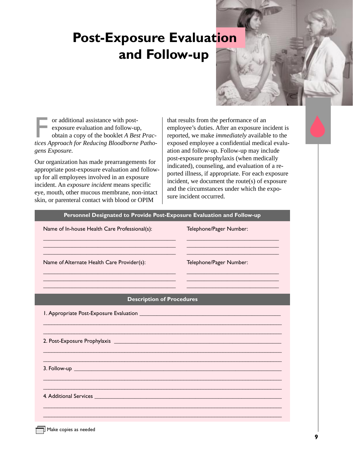### <span id="page-14-0"></span>**Post-Exposure Evaluation and Follow-up**



or additional assistance with postexposure evaluation and follow-up, obtain a copy of the booklet *A Best Practices Approach for Reducing Bloodborne Pathogens Exposure.*

Our organization has made prearrangements for appropriate post-exposure evaluation and followup for all employees involved in an exposure incident. An *exposure incident* means specific eye, mouth, other mucous membrane, non-intact skin, or parenteral contact with blood or OPIM

that results from the performance of an employee's duties. After an exposure incident is reported, we make *immediately* available to the exposed employee a confidential medical evaluation and follow-up. Follow-up may include post-exposure prophylaxis (when medically indicated), counseling, and evaluation of a reported illness, if appropriate. For each exposure incident, we document the route(s) of exposure and the circumstances under which the exposure incident occurred.

| Personnel Designated to Provide Post-Exposure Evaluation and Follow-up<br>Name of In-house Health Care Professional(s): | Telephone/Pager Number: |
|-------------------------------------------------------------------------------------------------------------------------|-------------------------|
|                                                                                                                         |                         |
| Name of Alternate Health Care Provider(s):                                                                              | Telephone/Pager Number: |
|                                                                                                                         |                         |
| <b>Description of Procedures</b>                                                                                        |                         |
|                                                                                                                         |                         |
|                                                                                                                         |                         |
|                                                                                                                         |                         |
|                                                                                                                         |                         |
| 4. Additional Services <b>Andrea</b> Services <b>Andrea Service Service Contract of Additional Services</b>             |                         |
|                                                                                                                         |                         |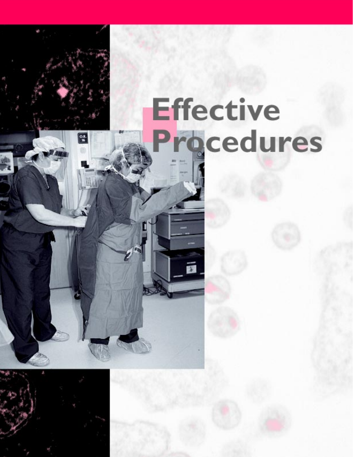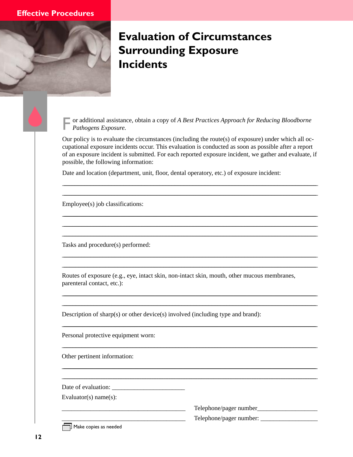<span id="page-17-0"></span>

### **Evaluation of Circumstances Surrounding Exposure Incidents**

or additional assistance, obtain a copy of A Best Practices Approach for Reducing Bloodborne Pathogens Exposure.

Our policy is to evaluate the circumstances (including the route(s) of exposure) under which all occupational exposure incidents occur. This evaluation is conducted as soon as possible after a report of an exposure incident is submitted. For each reported exposure incident, we gather and evaluate, if possible, the following information:

Date and location (department, unit, floor, dental operatory, etc.) of exposure incident:

Employee(s) job classifications:

Tasks and procedure(s) performed:

Routes of exposure (e.g., eye, intact skin, non-intact skin, mouth, other mucous membranes, parenteral contact, etc.):

Description of sharp(s) or other device(s) involved (including type and brand):

Personal protective equipment worn:

Other pertinent information:

Evaluator(s)  $name(s)$ :

 $\overline{\Box}$  Make copies as needed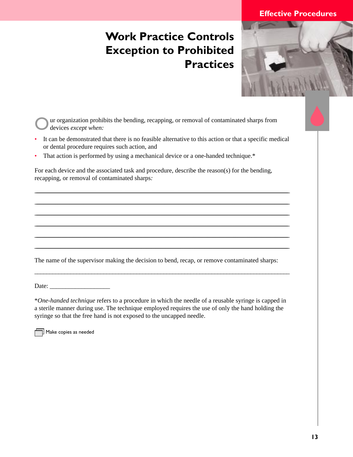### <span id="page-18-0"></span>**Work Practice Controls Exception to Prohibited Practices**

ur organization prohibits the bending, recapping, or removal of contaminated sharps from devices *except when:*

• It can be demonstrated that there is no feasible alternative to this action or that a specific medical or dental procedure requires such action, and

<u> 2008 - Andrea Britain, amerikan basar dan berasal di sebagai personal di sebagai personal di sebagai personal</u> <u> 2008 - Andrea Britain, amerikan basar dan berasal di sebagai personal di sebagai personal di sebagai personal</u> <u> 2008 - Andrea Britain, amerikan basar dan berasal di sebagai personal di sebagai personal di sebagai personal</u> <u> 2008 - Andrea Britain, amerikan basar dan berasal di sebagai personal di sebagai personal di sebagai personal</u> <u> 2008 - Andrea Britain, amerikan basar dan berasal di sebagai personal di sebagai personal di sebagai personal</u> \_\_\_\_\_\_\_\_\_\_\_\_\_\_\_\_\_\_\_\_\_\_\_\_\_\_\_\_\_\_\_\_\_\_\_\_\_\_\_\_\_\_\_\_\_\_\_\_\_\_\_\_\_\_\_\_\_\_\_\_\_\_\_\_\_\_\_\_\_\_\_\_\_\_\_\_\_\_\_\_\_\_\_\_\_\_\_\_\_\_\_\_\_\_\_\_\_\_\_\_\_\_\_\_\_\_\_\_\_\_\_\_\_\_\_\_\_\_\_\_\_\_\_\_\_\_\_\_\_\_\_\_\_\_\_\_\_\_\_\_\_\_\_\_\_\_\_\_\_\_\_\_\_\_\_\_\_\_\_\_\_\_\_\_\_\_\_\_\_\_\_\_\_\_\_\_\_\_\_\_\_\_\_\_\_\_\_\_\_\_\_\_\_\_\_\_\_\_\_\_\_\_\_\_\_\_\_\_\_\_\_\_\_\_\_\_\_\_\_\_\_\_\_\_\_\_\_\_\_\_\_\_\_\_

• That action is performed by using a mechanical device or a one-handed technique.\*

For each device and the associated task and procedure, describe the reason(s) for the bending, recapping, or removal of contaminated sharps*:*

The name of the supervisor making the decision to bend, recap, or remove contaminated sharps:

\_\_\_\_\_\_\_\_\_\_\_\_\_\_\_\_\_\_\_\_\_\_\_\_\_\_\_\_\_\_\_\_\_\_\_\_\_\_\_\_\_\_\_\_\_\_\_\_\_\_\_\_\_\_\_\_\_\_\_\_\_\_\_\_\_\_\_\_\_\_\_\_\_\_\_\_\_\_\_\_\_\_\_\_\_

Date: \_\_\_\_\_\_\_\_\_\_\_\_\_\_\_\_\_\_\_

\**One-handed technique* refers to a procedure in which the needle of a reusable syringe is capped in a sterile manner during use. The technique employed requires the use of only the hand holding the syringe so that the free hand is not exposed to the uncapped needle.

 $\overline{\mathbb{L}}$  Make copies as needed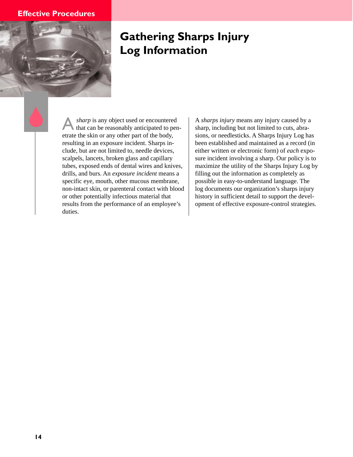<span id="page-19-0"></span>

### **Gathering Sharps Injury Log Information**

sharp is any object used or encountered that can be reasonably anticipated to penetrate the skin or any other part of the body, resulting in an exposure incident. Sharps include, but are not limited to, needle devices, scalpels, lancets, broken glass and capillary tubes, exposed ends of dental wires and knives, drills, and burs. An *exposure incident* means a specific eye, mouth, other mucous membrane, non-intact skin, or parenteral contact with blood or other potentially infectious material that results from the performance of an employee's duties.

A *sharps injury* means any injury caused by a sharp, including but not limited to cuts, abrasions, or needlesticks. A Sharps Injury Log has been established and maintained as a record (in either written or electronic form) of *each* exposure incident involving a sharp. Our policy is to maximize the utility of the Sharps Injury Log by filling out the information as completely as possible in easy-to-understand language. The log documents our organization's sharps injury history in sufficient detail to support the development of effective exposure-control strategies.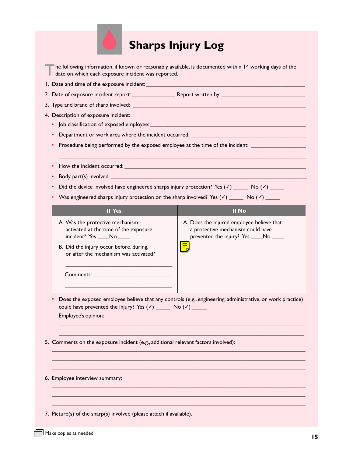

<span id="page-20-0"></span>

| The following information, if known or reasonably available, is documented within 14 working days of the |
|----------------------------------------------------------------------------------------------------------|
| date on which each exposure incident was reported.                                                       |

1. Date and time of the exposure incident: \_\_\_\_\_\_\_\_\_\_\_\_\_\_\_\_\_\_\_\_\_\_\_\_\_\_\_\_\_\_\_\_\_\_\_\_\_\_\_\_\_\_\_\_\_\_\_\_\_\_\_\_\_\_\_

- 2. Date of exposure incident report: \_\_\_\_\_\_\_\_\_\_\_\_\_\_\_ Report written by: \_\_\_\_\_\_\_\_\_\_\_\_\_\_\_\_\_\_\_\_\_\_\_\_\_\_\_\_\_
- 3. Type and brand of sharp involved: \_\_\_\_\_\_\_\_\_\_\_\_\_\_\_\_\_\_\_\_\_\_\_\_\_\_\_\_\_\_\_\_\_\_\_\_\_\_\_\_\_\_\_\_\_\_\_\_\_\_\_\_\_\_\_\_\_\_\_\_
- 4. Description of exposure incident:
	- Job classification of exposed employee: \_\_\_\_\_\_\_\_\_\_\_\_\_\_\_\_\_\_\_\_\_\_\_\_\_\_\_\_\_\_\_\_\_\_\_\_\_\_\_\_\_\_\_\_\_\_\_\_\_\_\_\_\_\_
	- Department or work area where the incident occurred: \_\_\_\_\_\_\_\_\_\_\_\_\_\_\_\_\_\_\_\_\_\_\_\_\_\_
	- Procedure being performed by the exposed employee at the time of the incident: \_\_\_\_\_\_\_\_\_\_\_\_\_\_\_\_\_\_\_\_\_\_\_\_\_\_\_\_\_
	- How the incident occurred:  $\blacksquare$
	- Body part(s) involved: \_\_\_\_\_\_\_\_\_\_\_\_\_\_\_\_\_\_\_\_\_\_\_\_\_\_\_\_\_\_\_\_\_\_\_\_\_\_\_\_\_\_\_\_\_\_\_\_\_\_\_\_\_\_\_\_\_\_\_\_\_\_\_\_\_\_\_\_
	- Did the device involved have engineered sharps injury protection? Yes  $(\checkmark)$  \_\_\_\_\_ No  $(\checkmark)$  \_\_\_\_\_

\_\_\_\_\_\_\_\_\_\_\_\_\_\_\_\_\_\_\_\_\_\_\_\_\_\_\_\_\_\_\_\_\_\_\_\_\_\_\_\_\_\_\_\_\_\_\_\_\_\_\_\_\_\_\_\_\_\_\_\_\_\_\_\_\_\_\_\_\_\_\_\_\_\_\_\_\_\_\_\_\_\_\_\_\_\_

• Was engineered sharps injury protection on the sharp involved? Yes  $(\checkmark)$  \_\_\_\_\_ No  $(\checkmark)$  \_\_\_\_\_

| <b>If Yes</b>                                                                                                                                                                                 | If No                                                                                                                   |
|-----------------------------------------------------------------------------------------------------------------------------------------------------------------------------------------------|-------------------------------------------------------------------------------------------------------------------------|
| A. Was the protective mechanism<br>activated at the time of the exposure<br>incident? Yes No<br>B. Did the injury occur before, during,<br>or after the mechanism was activated?<br>Comments: | A. Does the injured employee believe that<br>a protective mechanism could have<br>prevented the injury? Yes ____No ____ |
|                                                                                                                                                                                               | • Does the exposed employee believe that any controls (e.g., engineering, administrative, or work practice)             |

could have prevented the injury? Yes  $(\checkmark)$  \_\_\_\_\_\_ No  $(\checkmark)$  \_\_\_\_\_ Employee's opinion:

 $\mathcal{L}_\mathcal{L} = \{ \mathcal{L}_\mathcal{L} = \{ \mathcal{L}_\mathcal{L} = \{ \mathcal{L}_\mathcal{L} = \{ \mathcal{L}_\mathcal{L} = \{ \mathcal{L}_\mathcal{L} = \{ \mathcal{L}_\mathcal{L} = \{ \mathcal{L}_\mathcal{L} = \{ \mathcal{L}_\mathcal{L} = \{ \mathcal{L}_\mathcal{L} = \{ \mathcal{L}_\mathcal{L} = \{ \mathcal{L}_\mathcal{L} = \{ \mathcal{L}_\mathcal{L} = \{ \mathcal{L}_\mathcal{L} = \{ \mathcal{L}_\mathcal{$  $\mathcal{L}_\mathcal{L} = \{ \mathcal{L}_\mathcal{L} = \{ \mathcal{L}_\mathcal{L} = \{ \mathcal{L}_\mathcal{L} = \{ \mathcal{L}_\mathcal{L} = \{ \mathcal{L}_\mathcal{L} = \{ \mathcal{L}_\mathcal{L} = \{ \mathcal{L}_\mathcal{L} = \{ \mathcal{L}_\mathcal{L} = \{ \mathcal{L}_\mathcal{L} = \{ \mathcal{L}_\mathcal{L} = \{ \mathcal{L}_\mathcal{L} = \{ \mathcal{L}_\mathcal{L} = \{ \mathcal{L}_\mathcal{L} = \{ \mathcal{L}_\mathcal{$ 

\_\_\_\_\_\_\_\_\_\_\_\_\_\_\_\_\_\_\_\_\_\_\_\_\_\_\_\_\_\_\_\_\_\_\_\_\_\_\_\_\_\_\_\_\_\_\_\_\_\_\_\_\_\_\_\_\_\_\_\_\_\_\_\_\_\_\_\_\_\_\_\_\_\_\_\_\_\_\_\_\_\_\_\_\_\_\_\_ \_\_\_\_\_\_\_\_\_\_\_\_\_\_\_\_\_\_\_\_\_\_\_\_\_\_\_\_\_\_\_\_\_\_\_\_\_\_\_\_\_\_\_\_\_\_\_\_\_\_\_\_\_\_\_\_\_\_\_\_\_\_\_\_\_\_\_\_\_\_\_\_\_\_\_\_\_\_\_\_\_\_\_\_\_\_\_\_  $\mathcal{L}_\mathcal{L} = \{ \mathcal{L}_\mathcal{L} = \{ \mathcal{L}_\mathcal{L} = \{ \mathcal{L}_\mathcal{L} = \{ \mathcal{L}_\mathcal{L} = \{ \mathcal{L}_\mathcal{L} = \{ \mathcal{L}_\mathcal{L} = \{ \mathcal{L}_\mathcal{L} = \{ \mathcal{L}_\mathcal{L} = \{ \mathcal{L}_\mathcal{L} = \{ \mathcal{L}_\mathcal{L} = \{ \mathcal{L}_\mathcal{L} = \{ \mathcal{L}_\mathcal{L} = \{ \mathcal{L}_\mathcal{L} = \{ \mathcal{L}_\mathcal{$ 

 $\mathcal{L}_\mathcal{L} = \{ \mathcal{L}_\mathcal{L} = \{ \mathcal{L}_\mathcal{L} = \{ \mathcal{L}_\mathcal{L} = \{ \mathcal{L}_\mathcal{L} = \{ \mathcal{L}_\mathcal{L} = \{ \mathcal{L}_\mathcal{L} = \{ \mathcal{L}_\mathcal{L} = \{ \mathcal{L}_\mathcal{L} = \{ \mathcal{L}_\mathcal{L} = \{ \mathcal{L}_\mathcal{L} = \{ \mathcal{L}_\mathcal{L} = \{ \mathcal{L}_\mathcal{L} = \{ \mathcal{L}_\mathcal{L} = \{ \mathcal{L}_\mathcal{$ \_\_\_\_\_\_\_\_\_\_\_\_\_\_\_\_\_\_\_\_\_\_\_\_\_\_\_\_\_\_\_\_\_\_\_\_\_\_\_\_\_\_\_\_\_\_\_\_\_\_\_\_\_\_\_\_\_\_\_\_\_\_\_\_\_\_\_\_\_\_\_\_\_\_\_\_\_\_\_\_\_\_\_\_\_\_\_\_ \_\_\_\_\_\_\_\_\_\_\_\_\_\_\_\_\_\_\_\_\_\_\_\_\_\_\_\_\_\_\_\_\_\_\_\_\_\_\_\_\_\_\_\_\_\_\_\_\_\_\_\_\_\_\_\_\_\_\_\_\_\_\_\_\_\_\_\_\_\_\_\_\_\_\_\_\_\_\_\_\_\_\_\_\_\_\_\_

- 5. Comments on the exposure incident (e.g., additional relevant factors involved):
- 6. Employee interview summary:
- 7. Picture(s) of the sharp(s) involved (please attach if available).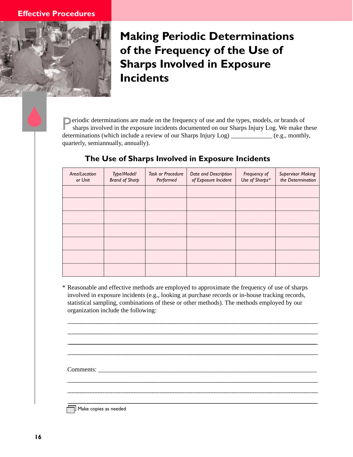<span id="page-21-0"></span>

### **Making Periodic Determinations of the Frequency of the Use of Sharps Involved in Exposure Incidents**

**Periodic determinations are made on the frequency of use and the types, models, or brands of** sharps involved in the exposure incidents documented on our Sharps Injury Log. We make these determinations (which include a review of our Sharps Injury Log) \_\_\_\_\_\_\_\_\_\_\_\_\_ (e.g., monthly, quarterly, semiannually, annually).

| Area/Location<br>or Unit | Type/Model/<br><b>Brand of Sharp</b> | <b>Task or Procedure</b><br>Performed | Date and Description<br>of Exposure Incident | Frequency of<br>Use of Sharps* | <b>Supervisor Making</b><br>the Determination |
|--------------------------|--------------------------------------|---------------------------------------|----------------------------------------------|--------------------------------|-----------------------------------------------|
|                          |                                      |                                       |                                              |                                |                                               |
|                          |                                      |                                       |                                              |                                |                                               |
|                          |                                      |                                       |                                              |                                |                                               |
|                          |                                      |                                       |                                              |                                |                                               |
|                          |                                      |                                       |                                              |                                |                                               |
|                          |                                      |                                       |                                              |                                |                                               |
|                          |                                      |                                       |                                              |                                |                                               |

### **The Use of Sharps Involved in Exposure Incidents**

\* Reasonable and effective methods are employed to approximate the frequency of use of sharps involved in exposure incidents (e.g., looking at purchase records or in-house tracking records, statistical sampling, combinations of these or other methods). The methods employed by our organization include the following:

\_\_\_\_\_\_\_\_\_\_\_\_\_\_\_\_\_\_\_\_\_\_\_\_\_\_\_\_\_\_\_\_\_\_\_\_\_\_\_\_\_\_\_\_\_\_\_\_\_\_\_\_\_\_\_\_\_\_\_\_\_\_\_\_\_\_\_\_\_\_\_\_\_\_\_\_\_\_\_\_\_\_\_\_\_\_\_\_\_\_\_\_\_\_\_\_\_ \_\_\_\_\_\_\_\_\_\_\_\_\_\_\_\_\_\_\_\_\_\_\_\_\_\_\_\_\_\_\_\_\_\_\_\_\_\_\_\_\_\_\_\_\_\_\_\_\_\_\_\_\_\_\_\_\_\_\_\_\_\_\_\_\_\_\_\_\_\_\_\_\_\_\_\_\_\_\_\_\_\_\_\_\_\_\_\_\_\_\_\_\_\_\_\_\_ <u> 2008 - Andrea Britain, amerikan basar dan berasal di sebagai personal di sebagai personal di sebagai personal</u> \_\_\_\_\_\_\_\_\_\_\_\_\_\_\_\_\_\_\_\_\_\_\_\_\_\_\_\_\_\_\_\_\_\_\_\_\_\_\_\_\_\_\_\_\_\_\_\_\_\_\_\_\_\_\_\_\_\_\_\_\_\_\_\_\_\_\_\_\_\_\_\_\_\_\_\_\_\_\_\_\_\_\_\_\_\_\_\_\_\_\_\_\_\_\_\_\_

\_\_\_\_\_\_\_\_\_\_\_\_\_\_\_\_\_\_\_\_\_\_\_\_\_\_\_\_\_\_\_\_\_\_\_\_\_\_\_\_\_\_\_\_\_\_\_\_\_\_\_\_\_\_\_\_\_\_\_\_\_\_\_\_\_\_\_\_\_\_\_\_\_\_\_\_\_\_\_\_\_\_\_\_\_\_\_\_\_\_\_\_\_\_\_\_\_ \_\_\_\_\_\_\_\_\_\_\_\_\_\_\_\_\_\_\_\_\_\_\_\_\_\_\_\_\_\_\_\_\_\_\_\_\_\_\_\_\_\_\_\_\_\_\_\_\_\_\_\_\_\_\_\_\_\_\_\_\_\_\_\_\_\_\_\_\_\_\_\_\_\_\_\_\_\_\_\_\_\_\_\_\_\_\_\_\_\_\_\_\_\_\_\_\_ \_\_\_\_\_\_\_\_\_\_\_\_\_\_\_\_\_\_\_\_\_\_\_\_\_\_\_\_\_\_\_\_\_\_\_\_\_\_\_\_\_\_\_\_\_\_\_\_\_\_\_\_\_\_\_\_\_\_\_\_\_\_\_\_\_\_\_\_\_\_\_\_\_\_\_\_\_\_\_\_\_\_\_\_\_\_\_\_\_\_\_\_\_\_\_\_\_\_\_\_\_\_\_\_\_\_\_\_\_\_\_\_\_\_\_\_\_\_\_\_\_\_\_\_\_\_\_\_\_\_\_\_\_\_\_\_\_\_\_\_\_\_\_\_\_\_\_\_\_\_\_\_\_\_\_\_\_\_\_\_\_\_\_\_\_\_\_\_\_\_\_\_\_\_\_\_\_\_\_\_\_\_\_\_\_\_\_

Comments: \_\_\_\_\_\_\_\_\_\_\_\_\_\_\_\_\_\_\_\_\_\_\_\_\_\_\_\_\_\_\_\_\_\_\_\_\_\_\_\_\_\_\_\_\_\_\_\_\_\_\_\_\_\_\_\_\_\_\_\_\_\_\_\_\_\_\_\_\_

Make copies as needed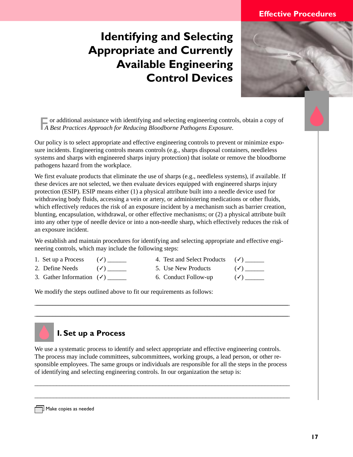### <span id="page-22-0"></span>**Identifying and Selecting Appropriate and Currently Available Engineering Control Devices**



 $\Box$  or additional assistance with identifying and selecting engineering controls, obtain a copy of  *A Best Practices Approach for Reducing Bloodborne Pathogens Exposure.*

Our policy is to select appropriate and effective engineering controls to prevent or minimize exposure incidents. Engineering controls means controls (e.g., sharps disposal containers, needleless systems and sharps with engineered sharps injury protection) that isolate or remove the bloodborne pathogens hazard from the workplace.

We first evaluate products that eliminate the use of sharps (e.g., needleless systems), if available. If these devices are not selected, we then evaluate devices equipped with engineered sharps injury protection (ESIP). ESIP means either (1) a physical attribute built into a needle device used for withdrawing body fluids, accessing a vein or artery, or administering medications or other fluids, which effectively reduces the risk of an exposure incident by a mechanism such as barrier creation, blunting, encapsulation, withdrawal, or other effective mechanisms; or (2) a physical attribute built into any other type of needle device or into a non-needle sharp, which effectively reduces the risk of an exposure incident.

We establish and maintain procedures for identifying and selecting appropriate and effective engineering controls, which may include the following steps:

- 
- 1. Set up a Process ( $\checkmark$ ) \_\_\_\_\_ 4. Test and Select Products ( $\checkmark$ ) \_\_\_\_\_ 2. Define Needs ( $\checkmark$ ) \_\_\_\_\_ 5. Use New Products ( $\checkmark$ ) \_\_\_\_\_ 2. Define Needs  $($  $)$  \_\_\_\_\_\_ 5. Use New Products
- 3. Gather Information  $(\checkmark)$  \_\_\_\_\_\_ 6. Conduct Follow-up  $(\checkmark)$  \_\_\_\_\_
- 
- 

We modify the steps outlined above to fit our requirements as follows:

### **I. Set up a Process**

We use a systematic process to identify and select appropriate and effective engineering controls. The process may include committees, subcommittees, working groups, a lead person, or other responsible employees. The same groups or individuals are responsible for all the steps in the process of identifying and selecting engineering controls. In our organization the setup is:

\_\_\_\_\_\_\_\_\_\_\_\_\_\_\_\_\_\_\_\_\_\_\_\_\_\_\_\_\_\_\_\_\_\_\_\_\_\_\_\_\_\_\_\_\_\_\_\_\_\_\_\_\_\_\_\_\_\_\_\_\_\_\_\_\_\_\_\_\_\_\_\_\_\_\_\_\_\_\_\_\_\_

\_\_\_\_\_\_\_\_\_\_\_\_\_\_\_\_\_\_\_\_\_\_\_\_\_\_\_\_\_\_\_\_\_\_\_\_\_\_\_\_\_\_\_\_\_\_\_\_\_\_\_\_\_\_\_\_\_\_\_\_\_\_\_\_\_\_\_\_\_\_\_\_\_\_\_\_\_\_\_\_\_\_

\_\_\_\_\_\_\_\_\_\_\_\_\_\_\_\_\_\_\_\_\_\_\_\_\_\_\_\_\_\_\_\_\_\_\_\_\_\_\_\_\_\_\_\_\_\_\_\_\_\_\_\_\_\_\_\_\_\_\_\_\_\_\_\_\_\_\_\_\_\_\_\_\_\_\_\_\_\_\_\_\_\_\_\_\_\_\_\_\_\_\_\_\_\_\_\_\_\_\_\_\_\_\_\_\_\_\_\_\_\_\_\_\_\_\_\_\_\_\_\_\_\_\_\_\_\_\_\_\_\_\_\_\_\_\_\_\_\_\_\_\_\_\_\_\_\_\_\_\_\_\_\_\_\_\_\_\_\_\_\_\_\_\_\_\_\_\_\_\_\_ \_\_\_\_\_\_\_\_\_\_\_\_\_\_\_\_\_\_\_\_\_\_\_\_\_\_\_\_\_\_\_\_\_\_\_\_\_\_\_\_\_\_\_\_\_\_\_\_\_\_\_\_\_\_\_\_\_\_\_\_\_\_\_\_\_\_\_\_\_\_\_\_\_\_\_\_\_\_\_\_\_\_\_\_\_\_\_\_\_\_\_\_\_\_\_\_\_\_\_\_\_\_\_\_\_\_\_\_\_\_\_\_\_\_\_\_\_\_\_\_\_\_\_\_\_\_\_\_\_\_\_\_\_\_\_\_\_\_\_\_\_\_\_\_\_\_\_\_\_\_\_\_\_\_\_\_\_\_\_\_\_\_\_\_\_\_\_\_\_\_

 $\Box$  Make copies as needed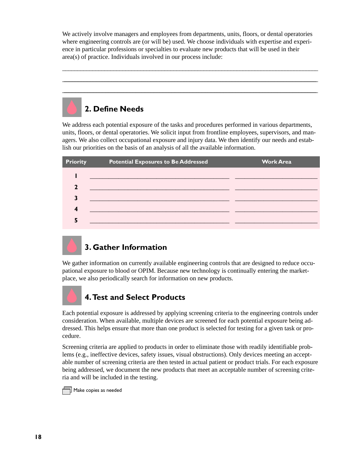We actively involve managers and employees from departments, units, floors, or dental operatories where engineering controls are (or will be) used. We choose individuals with expertise and experience in particular professions or specialties to evaluate new products that will be used in their area(s) of practice. Individuals involved in our process include:

\_\_\_\_\_\_\_\_\_\_\_\_\_\_\_\_\_\_\_\_\_\_\_\_\_\_\_\_\_\_\_\_\_\_\_\_\_\_\_\_\_\_\_\_\_\_\_\_\_\_\_\_\_\_\_\_\_\_\_\_\_\_\_\_\_\_\_\_\_\_\_\_\_\_\_\_\_\_\_\_\_\_\_\_\_ \_\_\_\_\_\_\_\_\_\_\_\_\_\_\_\_\_\_\_\_\_\_\_\_\_\_\_\_\_\_\_\_\_\_\_\_\_\_\_\_\_\_\_\_\_\_\_\_\_\_\_\_\_\_\_\_\_\_\_\_\_\_\_\_\_\_\_\_\_\_\_\_\_\_\_\_\_\_\_\_\_\_\_\_\_\_\_\_\_\_\_\_\_\_\_\_\_\_\_\_\_\_\_\_\_\_\_\_\_\_\_\_\_\_\_\_\_\_\_\_\_\_\_\_\_\_\_\_\_\_\_\_\_\_\_\_\_\_\_\_\_\_\_\_\_\_\_\_\_\_\_\_\_\_\_\_\_\_\_\_\_\_\_\_\_\_\_\_\_\_ \_\_\_\_\_\_\_\_\_\_\_\_\_\_\_\_\_\_\_\_\_\_\_\_\_\_\_\_\_\_\_\_\_\_\_\_\_\_\_\_\_\_\_\_\_\_\_\_\_\_\_\_\_\_\_\_\_\_\_\_\_\_\_\_\_\_\_\_\_\_\_\_\_\_\_\_\_\_\_\_\_\_\_\_\_\_\_\_\_\_\_\_\_\_\_\_\_\_\_\_\_\_\_\_\_\_\_\_\_\_\_\_\_\_\_\_\_\_\_\_\_\_\_\_\_\_\_\_\_\_\_\_\_\_\_\_\_\_\_\_\_\_\_\_\_\_\_\_\_\_\_\_\_\_\_\_\_\_\_\_\_\_\_\_\_\_\_\_\_\_

### **2. Define Needs**

We address each potential exposure of the tasks and procedures performed in various departments, units, floors, or dental operatories. We solicit input from frontline employees, supervisors, and managers. We also collect occupational exposure and injury data. We then identify our needs and establish our priorities on the basis of an analysis of all the available information.

| <b>Priority</b> | <b>Potential Exposures to Be Addressed</b> | <b>Work Area</b> |
|-----------------|--------------------------------------------|------------------|
|                 |                                            |                  |
| ר               |                                            |                  |
|                 |                                            |                  |
| 4               |                                            |                  |
| Е               |                                            |                  |



### **3. Gather Information**

We gather information on currently available engineering controls that are designed to reduce occupational exposure to blood or OPIM. Because new technology is continually entering the marketplace, we also periodically search for information on new products.



### **4. Test and Select Products**

Each potential exposure is addressed by applying screening criteria to the engineering controls under consideration. When available, multiple devices are screened for each potential exposure being addressed. This helps ensure that more than one product is selected for testing for a given task or procedure.

Screening criteria are applied to products in order to eliminate those with readily identifiable problems (e.g., ineffective devices, safety issues, visual obstructions). Only devices meeting an acceptable number of screening criteria are then tested in actual patient or product trials. For each exposure being addressed, we document the new products that meet an acceptable number of screening criteria and will be included in the testing.

 $\overline{\mathbb{I}}$  Make copies as needed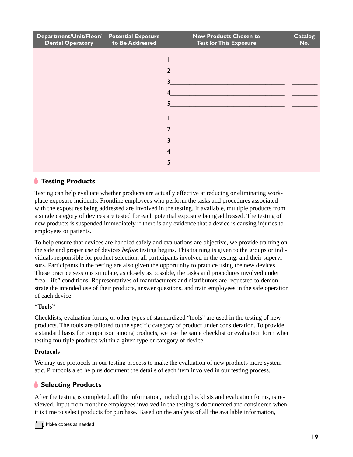| Department/Unit/Floor/ Potential Exposure<br><b>Dental Operatory</b> | to Be Addressed | <b>New Products Chosen to</b><br><b>Test for This Exposure</b>                                                                         | <b>Catalog</b><br>No. |
|----------------------------------------------------------------------|-----------------|----------------------------------------------------------------------------------------------------------------------------------------|-----------------------|
|                                                                      |                 |                                                                                                                                        |                       |
|                                                                      |                 | $\mathcal{D}$<br><u> 1989 - Jan Sterling von Berling von Berling von Berling von Berling von Berling von Berling von Berling von B</u> |                       |
|                                                                      |                 | $\overline{\mathbf{3}}$                                                                                                                |                       |
|                                                                      |                 | $\overline{4}$                                                                                                                         |                       |
|                                                                      |                 | $5 \qquad \qquad$                                                                                                                      |                       |
|                                                                      |                 |                                                                                                                                        |                       |
|                                                                      |                 |                                                                                                                                        |                       |
|                                                                      |                 | 3                                                                                                                                      |                       |
|                                                                      |                 |                                                                                                                                        |                       |
|                                                                      |                 | 5                                                                                                                                      |                       |

### *<u>A</u>* Testing Products

Testing can help evaluate whether products are actually effective at reducing or eliminating workplace exposure incidents. Frontline employees who perform the tasks and procedures associated with the exposures being addressed are involved in the testing. If available, multiple products from a single category of devices are tested for each potential exposure being addressed. The testing of new products is suspended immediately if there is any evidence that a device is causing injuries to employees or patients.

To help ensure that devices are handled safely and evaluations are objective, we provide training on the safe and proper use of devices *before* testing begins. This training is given to the groups or individuals responsible for product selection, all participants involved in the testing, and their supervisors. Participants in the testing are also given the opportunity to practice using the new devices. These practice sessions simulate, as closely as possible, the tasks and procedures involved under "real-life" conditions. Representatives of manufacturers and distributors are requested to demonstrate the intended use of their products, answer questions, and train employees in the safe operation of each device.

#### **"Tools"**

Checklists, evaluation forms, or other types of standardized "tools" are used in the testing of new products. The tools are tailored to the specific category of product under consideration. To provide a standard basis for comparison among products, we use the same checklist or evaluation form when testing multiple products within a given type or category of device.

#### **Protocols**

We may use protocols in our testing process to make the evaluation of new products more systematic. Protocols also help us document the details of each item involved in our testing process.

#### **Selecting Products**

After the testing is completed, all the information, including checklists and evaluation forms, is reviewed. Input from frontline employees involved in the testing is documented and considered when it is time to select products for purchase. Based on the analysis of all the available information,

 $\mathcal I$  Make copies as needed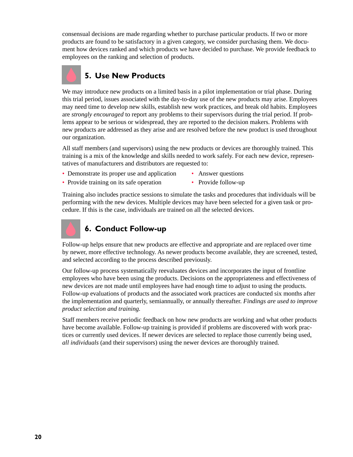consensual decisions are made regarding whether to purchase particular products. If two or more products are found to be satisfactory in a given category, we consider purchasing them. We document how devices ranked and which products we have decided to purchase. We provide feedback to employees on the ranking and selection of products.

### **5. Use New Products**

We may introduce new products on a limited basis in a pilot implementation or trial phase. During this trial period, issues associated with the day-to-day use of the new products may arise. Employees may need time to develop new skills, establish new work practices, and break old habits. Employees are *strongly encouraged* to report any problems to their supervisors during the trial period. If problems appear to be serious or widespread, they are reported to the decision makers. Problems with new products are addressed as they arise and are resolved before the new product is used throughout our organization.

All staff members (and supervisors) using the new products or devices are thoroughly trained. This training is a mix of the knowledge and skills needed to work safely. For each new device, representatives of manufacturers and distributors are requested to:

- Demonstrate its proper use and application Answer questions
	-
- Provide training on its safe operation Provide follow-up
- 

Training also includes practice sessions to simulate the tasks and procedures that individuals will be performing with the new devices. Multiple devices may have been selected for a given task or procedure. If this is the case, individuals are trained on all the selected devices.



### **6. Conduct Follow-up**

Follow-up helps ensure that new products are effective and appropriate and are replaced over time by newer, more effective technology. As newer products become available, they are screened, tested, and selected according to the process described previously.

Our follow-up process systematically reevaluates devices and incorporates the input of frontline employees who have been using the products. Decisions on the appropriateness and effectiveness of new devices are not made until employees have had enough time to adjust to using the products. Follow-up evaluations of products and the associated work practices are conducted six months after the implementation and quarterly, semiannually, or annually thereafter. *Findings are used to improve product selection and training.*

Staff members receive periodic feedback on how new products are working and what other products have become available. Follow-up training is provided if problems are discovered with work practices or currently used devices. If newer devices are selected to replace those currently being used, *all individuals* (and their supervisors) using the newer devices are thoroughly trained.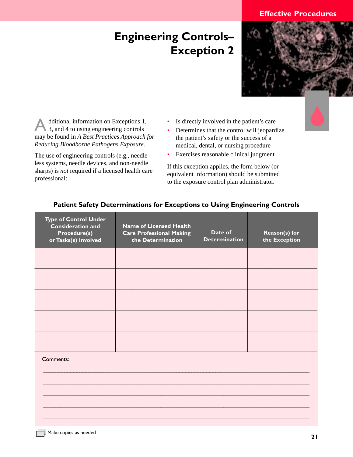### <span id="page-26-0"></span> **Engineering Controls– Exception 2**



Additional information on Exceptions 1, 3, and 4 to using engineering controls may be found in *A Best Practices Approach for Reducing Bloodborne Pathogens Exposure.*

The use of engineering controls (e.g., needleless systems, needle devices, and non-needle sharps) is *not* required if a licensed health care professional:

- Is directly involved in the patient's care
- Determines that the control will jeopardize the patient's safety or the success of a medical, dental, or nursing procedure
- Exercises reasonable clinical judgment

If this exception applies, the form below (or equivalent information) should be submitted to the exposure control plan administrator.

| <b>Type of Control Under</b><br><b>Consideration and</b><br><b>Procedure(s)</b><br>or Tasks(s) Involved | <b>Name of Licensed Health</b><br><b>Care Professional Making</b><br>the Determination | Date of<br><b>Determination</b> | Reason(s) for<br>the Exception |
|---------------------------------------------------------------------------------------------------------|----------------------------------------------------------------------------------------|---------------------------------|--------------------------------|
|                                                                                                         |                                                                                        |                                 |                                |
|                                                                                                         |                                                                                        |                                 |                                |
|                                                                                                         |                                                                                        |                                 |                                |
|                                                                                                         |                                                                                        |                                 |                                |
|                                                                                                         |                                                                                        |                                 |                                |
|                                                                                                         |                                                                                        |                                 |                                |

\_\_\_\_\_\_\_\_\_\_\_\_\_\_\_\_\_\_\_\_\_\_\_\_\_\_\_\_\_\_\_\_\_\_\_\_\_\_\_\_\_\_\_\_\_\_\_\_\_\_\_\_\_\_\_\_\_\_\_\_\_\_\_\_\_\_\_\_\_\_\_\_\_\_\_\_\_\_\_\_\_\_\_\_\_\_\_\_

 $\mathcal{L}_\mathcal{L} = \{ \mathcal{L}_\mathcal{L} = \{ \mathcal{L}_\mathcal{L} = \{ \mathcal{L}_\mathcal{L} = \{ \mathcal{L}_\mathcal{L} = \{ \mathcal{L}_\mathcal{L} = \{ \mathcal{L}_\mathcal{L} = \{ \mathcal{L}_\mathcal{L} = \{ \mathcal{L}_\mathcal{L} = \{ \mathcal{L}_\mathcal{L} = \{ \mathcal{L}_\mathcal{L} = \{ \mathcal{L}_\mathcal{L} = \{ \mathcal{L}_\mathcal{L} = \{ \mathcal{L}_\mathcal{L} = \{ \mathcal{L}_\mathcal{$ 

\_\_\_\_\_\_\_\_\_\_\_\_\_\_\_\_\_\_\_\_\_\_\_\_\_\_\_\_\_\_\_\_\_\_\_\_\_\_\_\_\_\_\_\_\_\_\_\_\_\_\_\_\_\_\_\_\_\_\_\_\_\_\_\_\_\_\_\_\_\_\_\_\_\_\_\_\_\_\_\_\_\_\_\_\_\_\_\_\_\_\_\_\_

 $\mathcal{L}_\mathcal{L} = \{ \mathcal{L}_\mathcal{L} = \{ \mathcal{L}_\mathcal{L} = \{ \mathcal{L}_\mathcal{L} = \{ \mathcal{L}_\mathcal{L} = \{ \mathcal{L}_\mathcal{L} = \{ \mathcal{L}_\mathcal{L} = \{ \mathcal{L}_\mathcal{L} = \{ \mathcal{L}_\mathcal{L} = \{ \mathcal{L}_\mathcal{L} = \{ \mathcal{L}_\mathcal{L} = \{ \mathcal{L}_\mathcal{L} = \{ \mathcal{L}_\mathcal{L} = \{ \mathcal{L}_\mathcal{L} = \{ \mathcal{L}_\mathcal{$  $\mathcal{L}_\mathcal{L} = \{ \mathcal{L}_\mathcal{L} = \{ \mathcal{L}_\mathcal{L} = \{ \mathcal{L}_\mathcal{L} = \{ \mathcal{L}_\mathcal{L} = \{ \mathcal{L}_\mathcal{L} = \{ \mathcal{L}_\mathcal{L} = \{ \mathcal{L}_\mathcal{L} = \{ \mathcal{L}_\mathcal{L} = \{ \mathcal{L}_\mathcal{L} = \{ \mathcal{L}_\mathcal{L} = \{ \mathcal{L}_\mathcal{L} = \{ \mathcal{L}_\mathcal{L} = \{ \mathcal{L}_\mathcal{L} = \{ \mathcal{L}_\mathcal{$ 

#### **Patient Safety Determinations for Exceptions to Using Engineering Controls**

#### Comments: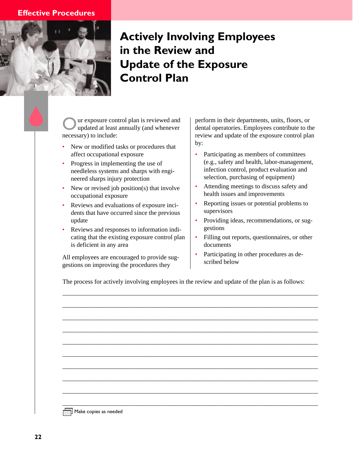<span id="page-27-0"></span>

### **Actively Involving Employees in the Review and Update of the Exposure Control Plan**

ur exposure control plan is reviewed and updated at least annually (and whenever necessary) to include:

- New or modified tasks or procedures that affect occupational exposure
- Progress in implementing the use of needleless systems and sharps with engineered sharps injury protection
- New or revised job position(s) that involve occupational exposure
- Reviews and evaluations of exposure incidents that have occurred since the previous update
- Reviews and responses to information indicating that the existing exposure control plan is deficient in any area

All employees are encouraged to provide suggestions on improving the procedures they

perform in their departments, units, floors, or dental operatories. Employees contribute to the review and update of the exposure control plan by:

- Participating as members of committees (e.g., safety and health, labor-management, infection control, product evaluation and selection, purchasing of equipment)
- Attending meetings to discuss safety and health issues and improvements
- Reporting issues or potential problems to supervisors
- Providing ideas, recommendations, or suggestions
- Filling out reports, questionnaires, or other documents
- Participating in other procedures as described below

The process for actively involving employees in the review and update of the plan is as follows:

\_\_\_\_\_\_\_\_\_\_\_\_\_\_\_\_\_\_\_\_\_\_\_\_\_\_\_\_\_\_\_\_\_\_\_\_\_\_\_\_\_\_\_\_\_\_\_\_\_\_\_\_\_\_\_\_\_\_\_\_\_\_\_\_\_\_\_\_\_\_\_\_\_\_\_\_\_\_\_\_\_\_

\_\_\_\_\_\_\_\_\_\_\_\_\_\_\_\_\_\_\_\_\_\_\_\_\_\_\_\_\_\_\_\_\_\_\_\_\_\_\_\_\_\_\_\_\_\_\_\_\_\_\_\_\_\_\_\_\_\_\_\_\_\_\_\_\_\_\_\_\_\_\_\_\_\_\_\_\_\_\_\_\_\_

\_\_\_\_\_\_\_\_\_\_\_\_\_\_\_\_\_\_\_\_\_\_\_\_\_\_\_\_\_\_\_\_\_\_\_\_\_\_\_\_\_\_\_\_\_\_\_\_\_\_\_\_\_\_\_\_\_\_\_\_\_\_\_\_\_\_\_\_\_\_\_\_\_\_\_\_\_\_\_\_\_\_

\_\_\_\_\_\_\_\_\_\_\_\_\_\_\_\_\_\_\_\_\_\_\_\_\_\_\_\_\_\_\_\_\_\_\_\_\_\_\_\_\_\_\_\_\_\_\_\_\_\_\_\_\_\_\_\_\_\_\_\_\_\_\_\_\_\_\_\_\_\_\_\_\_\_\_\_\_\_\_\_\_\_

\_\_\_\_\_\_\_\_\_\_\_\_\_\_\_\_\_\_\_\_\_\_\_\_\_\_\_\_\_\_\_\_\_\_\_\_\_\_\_\_\_\_\_\_\_\_\_\_\_\_\_\_\_\_\_\_\_\_\_\_\_\_\_\_\_\_\_\_\_\_\_\_\_\_\_\_\_\_\_\_\_\_

\_\_\_\_\_\_\_\_\_\_\_\_\_\_\_\_\_\_\_\_\_\_\_\_\_\_\_\_\_\_\_\_\_\_\_\_\_\_\_\_\_\_\_\_\_\_\_\_\_\_\_\_\_\_\_\_\_\_\_\_\_\_\_\_\_\_\_\_\_\_\_\_\_\_\_\_\_\_\_\_\_\_

\_\_\_\_\_\_\_\_\_\_\_\_\_\_\_\_\_\_\_\_\_\_\_\_\_\_\_\_\_\_\_\_\_\_\_\_\_\_\_\_\_\_\_\_\_\_\_\_\_\_\_\_\_\_\_\_\_\_\_\_\_\_\_\_\_\_\_\_\_\_\_\_\_\_\_\_\_\_\_\_\_\_

\_\_\_\_\_\_\_\_\_\_\_\_\_\_\_\_\_\_\_\_\_\_\_\_\_\_\_\_\_\_\_\_\_\_\_\_\_\_\_\_\_\_\_\_\_\_\_\_\_\_\_\_\_\_\_\_\_\_\_\_\_\_\_\_\_\_\_\_\_\_\_\_\_\_\_\_\_\_\_\_\_\_

\_\_\_\_\_\_\_\_\_\_\_\_\_\_\_\_\_\_\_\_\_\_\_\_\_\_\_\_\_\_\_\_\_\_\_\_\_\_\_\_\_\_\_\_\_\_\_\_\_\_\_\_\_\_\_\_\_\_\_\_\_\_\_\_\_\_\_\_\_\_\_\_\_\_\_\_\_\_\_\_\_\_

\_\_\_\_\_\_\_\_\_\_\_\_\_\_\_\_\_\_\_\_\_\_\_\_\_\_\_\_\_\_\_\_\_\_\_\_\_\_\_\_\_\_\_\_\_\_\_\_\_\_\_\_\_\_\_\_\_\_\_\_\_\_\_\_\_\_\_\_\_\_\_\_\_\_\_\_\_\_\_\_\_\_

Make copies as needed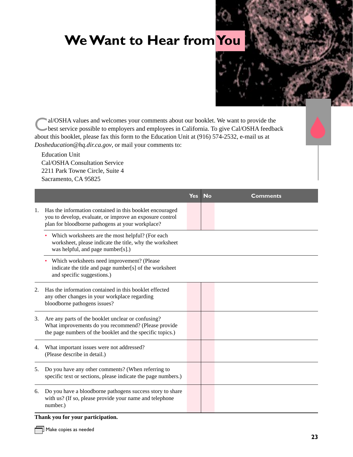### <span id="page-28-0"></span>**We Want to Hear from You**



Cal/OSHA values and welcomes your comments about our booklet. We want to provide the<br>best service possible to employers and employees in California. To give Cal/OSHA feedback about this booklet, please fax this form to the Education Unit at (916) 574-2532, e-mail us at *Dosheducation@hq.dir.ca.gov*, or mail your comments to:

Education Unit Cal/OSHA Consultation Service 2211 Park Towne Circle, Suite 4 Sacramento, CA 95825

|    |                                                                                                                                                                          | <b>Yes</b> | <b>No</b> | <b>Comments</b> |
|----|--------------------------------------------------------------------------------------------------------------------------------------------------------------------------|------------|-----------|-----------------|
| 1. | Has the information contained in this booklet encouraged<br>you to develop, evaluate, or improve an exposure control<br>plan for bloodborne pathogens at your workplace? |            |           |                 |
|    | Which worksheets are the most helpful? (For each<br>worksheet, please indicate the title, why the worksheet<br>was helpful, and page number[s].)                         |            |           |                 |
|    | Which worksheets need improvement? (Please<br>indicate the title and page number[s] of the worksheet<br>and specific suggestions.)                                       |            |           |                 |
| 2. | Has the information contained in this booklet effected<br>any other changes in your workplace regarding<br>bloodborne pathogens issues?                                  |            |           |                 |
| 3. | Are any parts of the booklet unclear or confusing?<br>What improvements do you recommend? (Please provide<br>the page numbers of the booklet and the specific topics.)   |            |           |                 |
| 4. | What important issues were not addressed?<br>(Please describe in detail.)                                                                                                |            |           |                 |
| 5. | Do you have any other comments? (When referring to<br>specific text or sections, please indicate the page numbers.)                                                      |            |           |                 |
| 6. | Do you have a bloodborne pathogens success story to share<br>with us? (If so, please provide your name and telephone<br>number.)                                         |            |           |                 |

#### **Thank you for your participation.**

 $\overline{\Box}$  Make copies as needed

Г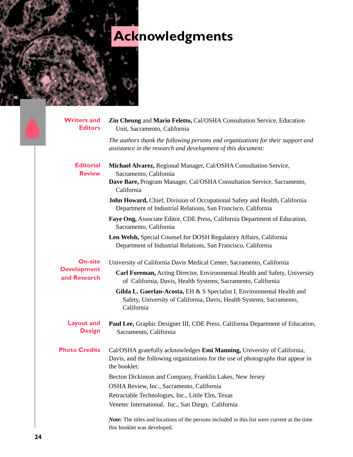## <span id="page-29-0"></span>**Acknowledgments**

| <b>Writers and</b><br><b>Editors</b> | Zin Cheung and Mario Feletto, Cal/OSHA Consultation Service, Education<br>Unit, Sacramento, California                                                                      |  |  |  |  |
|--------------------------------------|-----------------------------------------------------------------------------------------------------------------------------------------------------------------------------|--|--|--|--|
|                                      | The authors thank the following persons and organizations for their support and<br>assistance in the research and development of this document:                             |  |  |  |  |
| <b>Editorial</b><br><b>Review</b>    | Michael Alvarez, Regional Manager, Cal/OSHA Consultation Service,<br>Sacramento, California                                                                                 |  |  |  |  |
|                                      | Dave Bare, Program Manager, Cal/OSHA Consultation Service, Sacramento,<br>California                                                                                        |  |  |  |  |
|                                      | John Howard, Chief, Division of Occupational Safety and Health, California<br>Department of Industrial Relations, San Francisco, California                                 |  |  |  |  |
|                                      | Faye Ong, Associate Editor, CDE Press, California Department of Education,<br>Sacramento, California                                                                        |  |  |  |  |
|                                      | Len Welsh, Special Counsel for DOSH Regulatory Affairs, California<br>Department of Industrial Relations, San Francisco, California                                         |  |  |  |  |
| <b>On-site</b>                       | University of California Davis Medical Center, Sacramento, California                                                                                                       |  |  |  |  |
| <b>Development</b><br>and Research   | Carl Foreman, Acting Director, Environmental Health and Safety, University<br>of California, Davis, Health Systems, Sacramento, California                                  |  |  |  |  |
|                                      | Gilda L. Gaerlan-Acosta, EH & S Specialist I, Environmental Health and<br>Safety, University of California, Davis, Health Systems, Sacramento,<br>California                |  |  |  |  |
| <b>Layout and</b><br><b>Design</b>   | Paul Lee, Graphic Designer III, CDE Press, California Department of Education,<br>Sacramento, California                                                                    |  |  |  |  |
| <b>Photo Credits</b>                 | Cal/OSHA gratefully acknowledges Emi Manning, University of California,<br>Davis, and the following organizations for the use of photographs that appear in<br>the booklet: |  |  |  |  |
|                                      | Becton Dickinson and Company, Franklin Lakes, New Jersey                                                                                                                    |  |  |  |  |
|                                      | OSHA Review, Inc., Sacramento, California                                                                                                                                   |  |  |  |  |
|                                      | Retractable Technologies, Inc., Little Elm, Texas                                                                                                                           |  |  |  |  |
|                                      | Venetec International, Inc., San Diego, California                                                                                                                          |  |  |  |  |
|                                      | Note: The titles and locations of the persons included in this list were current at the time<br>this booklet was developed.                                                 |  |  |  |  |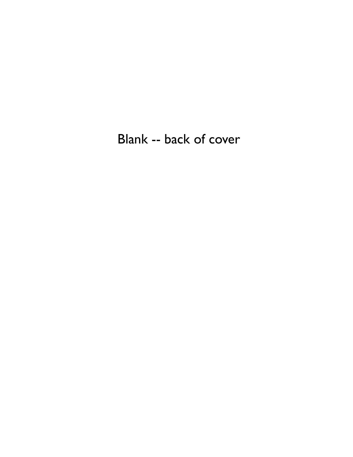Blank -- back of cover